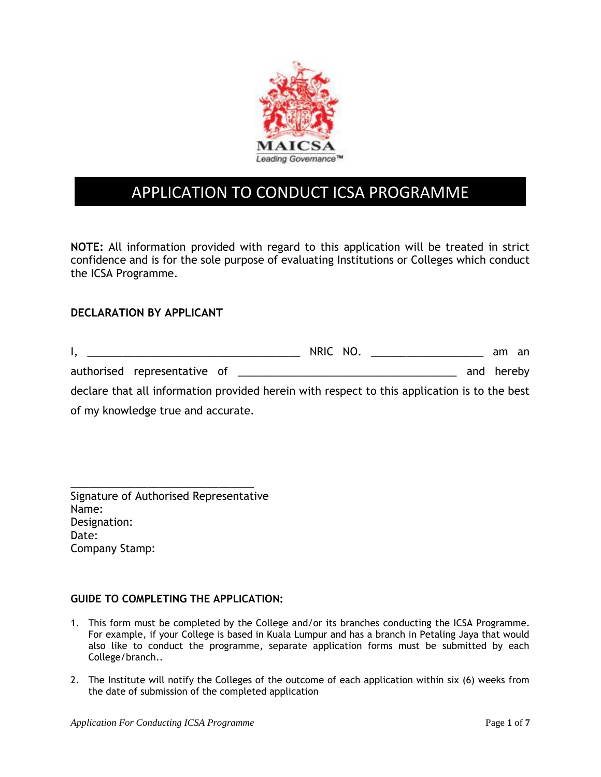

# APPLICATION TO CONDUCT ICSA PROGRAMME

**NOTE:** All information provided with regard to this application will be treated in strict confidence and is for the sole purpose of evaluating Institutions or Colleges which conduct the ICSA Programme.

### **DECLARATION BY APPLICANT**

| и производство на представительно политической собствении и производства и производства и производства и произв | NRIC NO. | am an      |  |
|-----------------------------------------------------------------------------------------------------------------|----------|------------|--|
|                                                                                                                 |          | and hereby |  |
| declare that all information provided herein with respect to this application is to the best                    |          |            |  |
| of my knowledge true and accurate.                                                                              |          |            |  |

\_\_\_\_\_\_\_\_\_\_\_\_\_\_\_\_\_\_\_\_\_\_\_\_\_\_\_\_\_\_\_ Signature of Authorised Representative Name: Designation: Date: Company Stamp:

#### **GUIDE TO COMPLETING THE APPLICATION:**

- 1. This form must be completed by the College and/or its branches conducting the ICSA Programme. For example, if your College is based in Kuala Lumpur and has a branch in Petaling Jaya that would also like to conduct the programme, separate application forms must be submitted by each College/branch..
- 2. The Institute will notify the Colleges of the outcome of each application within six (6) weeks from the date of submission of the completed application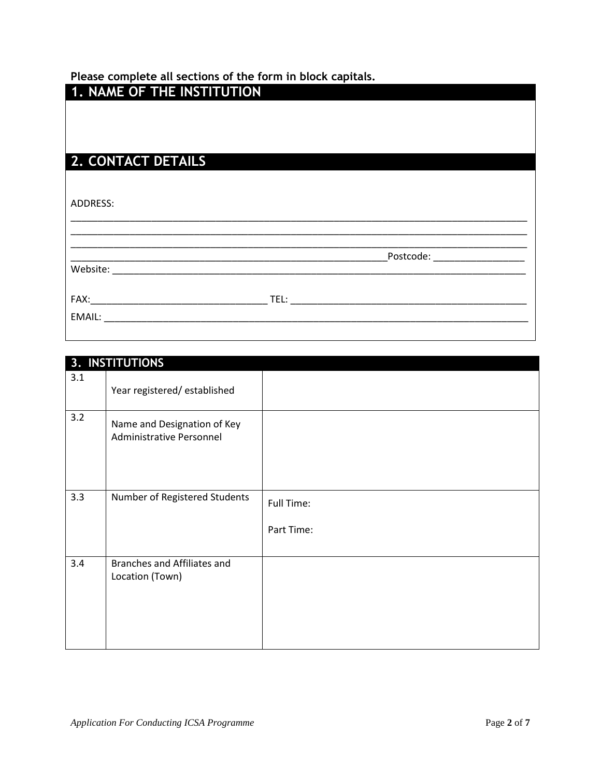## **Please complete all sections of the form in block capitals.**

| 1. NAME OF THE INSTITUTION |  |
|----------------------------|--|
|                            |  |
|                            |  |
| 2. CONTACT DETAILS         |  |
|                            |  |
| ADDRESS:                   |  |
|                            |  |
|                            |  |
|                            |  |
|                            |  |
|                            |  |
|                            |  |

|     | 3. INSTITUTIONS                                         |                          |
|-----|---------------------------------------------------------|--------------------------|
| 3.1 | Year registered/established                             |                          |
| 3.2 | Name and Designation of Key<br>Administrative Personnel |                          |
| 3.3 | Number of Registered Students                           | Full Time:<br>Part Time: |
| 3.4 | Branches and Affiliates and<br>Location (Town)          |                          |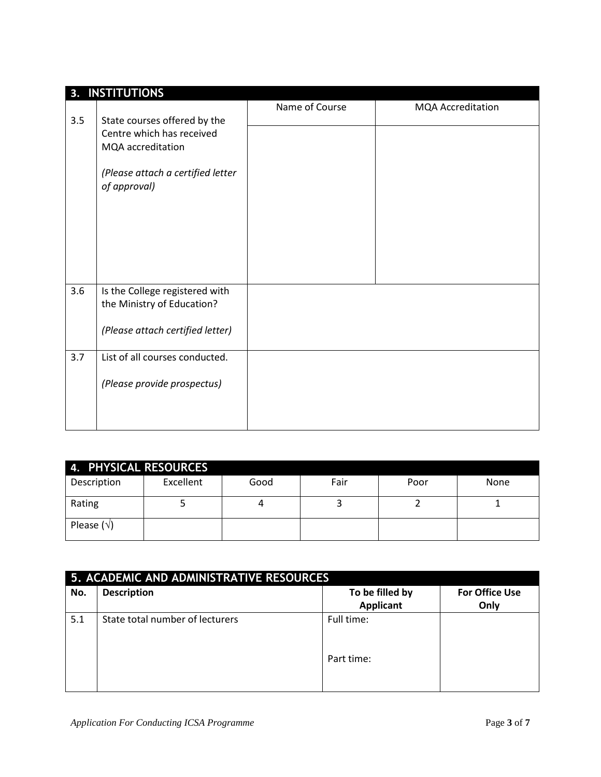|     | 3. INSTITUTIONS                                                                                                                     |                |                          |
|-----|-------------------------------------------------------------------------------------------------------------------------------------|----------------|--------------------------|
| 3.5 | State courses offered by the<br>Centre which has received<br>MQA accreditation<br>(Please attach a certified letter<br>of approval) | Name of Course | <b>MQA Accreditation</b> |
|     |                                                                                                                                     |                |                          |
| 3.6 | Is the College registered with<br>the Ministry of Education?<br>(Please attach certified letter)                                    |                |                          |
| 3.7 | List of all courses conducted.<br>(Please provide prospectus)                                                                       |                |                          |

| 4. PHYSICAL RESOURCES |           |      |      |      |      |  |
|-----------------------|-----------|------|------|------|------|--|
| Description           | Excellent | Good | Fair | Poor | None |  |
| Rating                |           |      |      |      |      |  |
| Please $(\sqrt{})$    |           |      |      |      |      |  |

| 5. ACADEMIC AND ADMINISTRATIVE RESOURCES |                                 |                                     |                               |  |  |
|------------------------------------------|---------------------------------|-------------------------------------|-------------------------------|--|--|
| No.                                      | <b>Description</b>              | To be filled by<br><b>Applicant</b> | <b>For Office Use</b><br>Only |  |  |
| 5.1                                      | State total number of lecturers | Full time:<br>Part time:            |                               |  |  |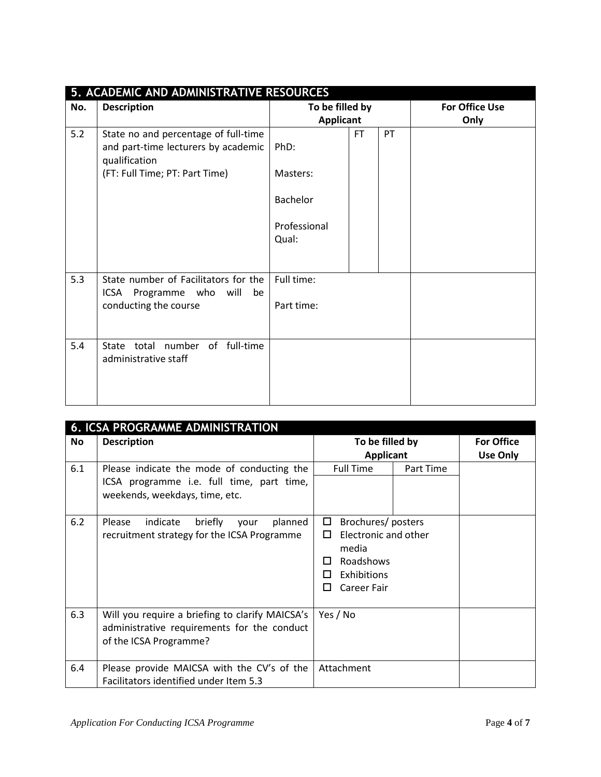|     | 5. ACADEMIC AND ADMINISTRATIVE RESOURCES                                                     |                                     |           |                               |  |  |
|-----|----------------------------------------------------------------------------------------------|-------------------------------------|-----------|-------------------------------|--|--|
| No. | <b>Description</b>                                                                           | To be filled by<br><b>Applicant</b> |           | <b>For Office Use</b><br>Only |  |  |
| 5.2 | State no and percentage of full-time<br>and part-time lecturers by academic<br>qualification | PhD:                                | <b>FT</b> | <b>PT</b>                     |  |  |
|     | (FT: Full Time; PT: Part Time)                                                               | Masters:                            |           |                               |  |  |
|     |                                                                                              | <b>Bachelor</b>                     |           |                               |  |  |
|     |                                                                                              | Professional<br>Qual:               |           |                               |  |  |
| 5.3 | State number of Facilitators for the<br>ICSA Programme who will be<br>conducting the course  | Full time:<br>Part time:            |           |                               |  |  |
| 5.4 | State total number of full-time<br>administrative staff                                      |                                     |           |                               |  |  |

|           | <b>6. ICSA PROGRAMME ADMINISTRATION</b>                                                                                   |                                                                                                              |           |                               |  |  |
|-----------|---------------------------------------------------------------------------------------------------------------------------|--------------------------------------------------------------------------------------------------------------|-----------|-------------------------------|--|--|
| <b>No</b> | <b>Description</b>                                                                                                        | To be filled by<br><b>Applicant</b>                                                                          |           | <b>For Office</b><br>Use Only |  |  |
| 6.1       | Please indicate the mode of conducting the<br>ICSA programme i.e. full time, part time,<br>weekends, weekdays, time, etc. | <b>Full Time</b>                                                                                             | Part Time |                               |  |  |
| 6.2       | Please<br>indicate<br>briefly<br>planned<br>your<br>recruitment strategy for the ICSA Programme                           | Brochures/posters<br>$\Box$<br>Electronic and other<br>П<br>media<br>Roadshows<br>Exhibitions<br>Career Fair |           |                               |  |  |
| 6.3       | Will you require a briefing to clarify MAICSA's<br>administrative requirements for the conduct<br>of the ICSA Programme?  | Yes / No                                                                                                     |           |                               |  |  |
| 6.4       | Please provide MAICSA with the CV's of the<br>Facilitators identified under Item 5.3                                      | Attachment                                                                                                   |           |                               |  |  |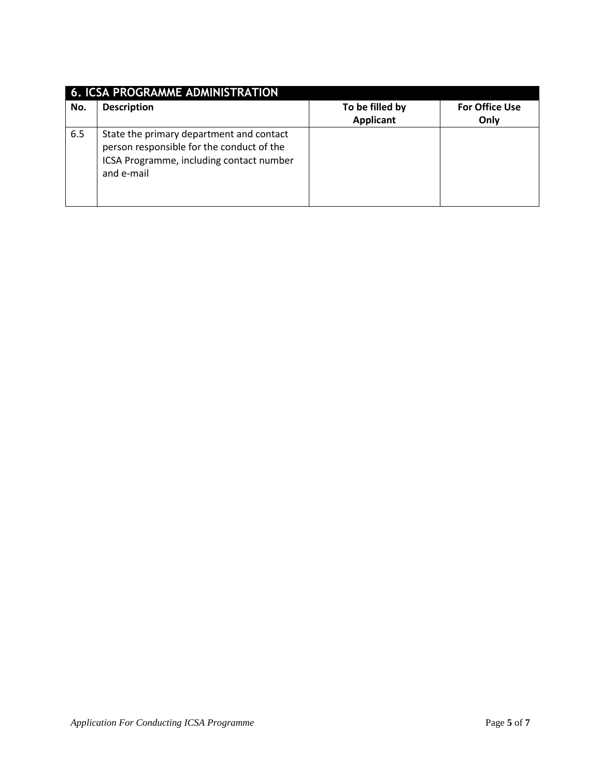|     | <b>6. ICSA PROGRAMME ADMINISTRATION</b>                                                                                                         |                                     |                               |  |  |  |
|-----|-------------------------------------------------------------------------------------------------------------------------------------------------|-------------------------------------|-------------------------------|--|--|--|
| No. | <b>Description</b>                                                                                                                              | To be filled by<br><b>Applicant</b> | <b>For Office Use</b><br>Only |  |  |  |
| 6.5 | State the primary department and contact<br>person responsible for the conduct of the<br>ICSA Programme, including contact number<br>and e-mail |                                     |                               |  |  |  |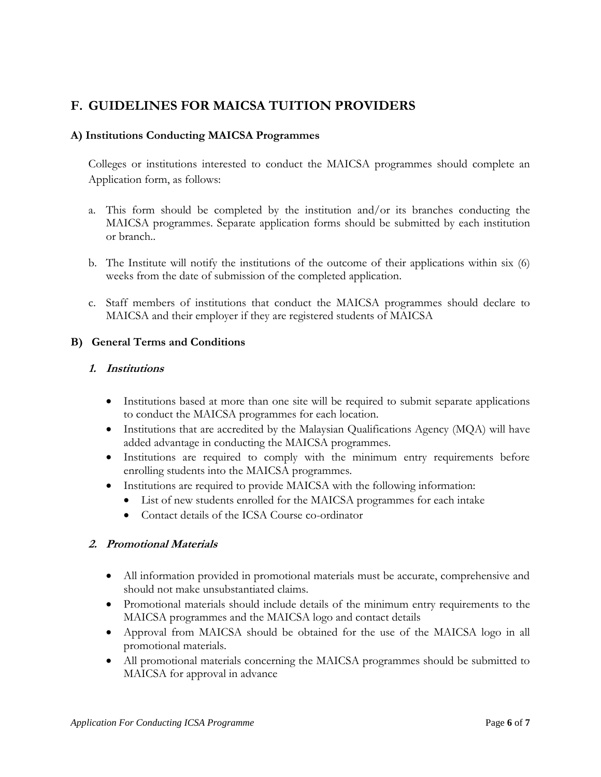# **F. GUIDELINES FOR MAICSA TUITION PROVIDERS**

#### **A) Institutions Conducting MAICSA Programmes**

Colleges or institutions interested to conduct the MAICSA programmes should complete an Application form, as follows:

- a. This form should be completed by the institution and/or its branches conducting the MAICSA programmes. Separate application forms should be submitted by each institution or branch..
- b. The Institute will notify the institutions of the outcome of their applications within six (6) weeks from the date of submission of the completed application.
- c. Staff members of institutions that conduct the MAICSA programmes should declare to MAICSA and their employer if they are registered students of MAICSA

#### **B) General Terms and Conditions**

#### **1. Institutions**

- Institutions based at more than one site will be required to submit separate applications to conduct the MAICSA programmes for each location.
- Institutions that are accredited by the Malaysian Qualifications Agency (MQA) will have added advantage in conducting the MAICSA programmes.
- Institutions are required to comply with the minimum entry requirements before enrolling students into the MAICSA programmes.
- Institutions are required to provide MAICSA with the following information:
	- List of new students enrolled for the MAICSA programmes for each intake
	- Contact details of the ICSA Course co-ordinator

#### **2. Promotional Materials**

- All information provided in promotional materials must be accurate, comprehensive and should not make unsubstantiated claims.
- Promotional materials should include details of the minimum entry requirements to the MAICSA programmes and the MAICSA logo and contact details
- Approval from MAICSA should be obtained for the use of the MAICSA logo in all promotional materials.
- All promotional materials concerning the MAICSA programmes should be submitted to MAICSA for approval in advance